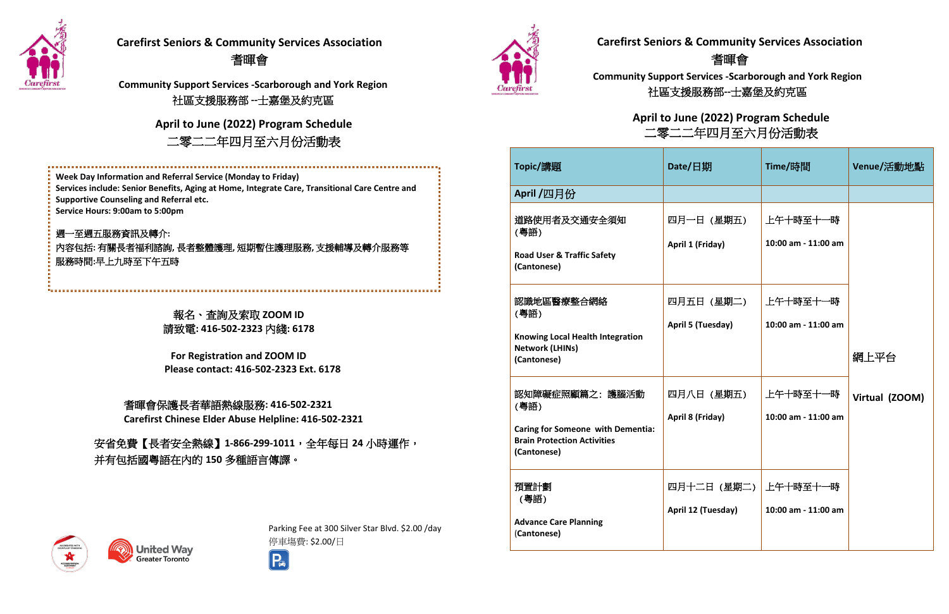報名、查詢及索取 **ZOOM ID** 請致電**: 416-502-2323** 內綫**: 6178**

**For Registration and ZOOM ID Please contact: 416-502-2323 Ext. 6178**

 $R = \frac{1}{2}$ **Carefirst Chinese Elder Abuse Helpline: 416-502-2321** 耆暉會保護長者華語熱線服務**: 416-502-2321**

| Topic/講題                                                                                                                | Date/日期                                | Time/時間                         | Venue/活動地點     |
|-------------------------------------------------------------------------------------------------------------------------|----------------------------------------|---------------------------------|----------------|
| April /四月份                                                                                                              |                                        |                                 |                |
| 道路使用者及交通安全須知<br>(粵語)<br><b>Road User &amp; Traffic Safety</b><br>(Cantonese)                                            | 四月一日 (星期五)<br>April 1 (Friday)         | 上午十時至十一時<br>10:00 am - 11:00 am |                |
| 認識地區醫療整合網絡<br>(粵語)<br><b>Knowing Local Health Integration</b><br><b>Network (LHINs)</b><br>(Cantonese)                  | 四月五日 (星期二)<br><b>April 5 (Tuesday)</b> | 上午十時至十一時<br>10:00 am - 11:00 am | 網上平台           |
| 認知障礙症照顧篇之:護腦活動<br>(粵語)<br><b>Caring for Someone with Dementia:</b><br><b>Brain Protection Activities</b><br>(Cantonese) | 四月八日 (星期五)<br>April 8 (Friday)         | 上午十時至十一時<br>10:00 am - 11:00 am | Virtual (ZOOM) |
| 預置計劃<br>(粵語)<br><b>Advance Care Planning</b><br>(Cantonese)                                                             | 四月十二日 (星期二)<br>April 12 (Tuesday)      | 上午十時至十一時<br>10:00 am - 11:00 am |                |



## **Carefirst Seniors & Community Services Association** 耆暉會

**Community Support Services -Scarborough and York Region** 社區支援服務部**--**士嘉堡及約克區

# **Carefirst Seniors & Community Services Association** 耆暉會

**Community Support Services -Scarborough and York Region** 社區支援服務部 **--**士嘉堡及約克區

> **April to June (2022) Program Schedule** 二零二二年四月至六月份活動表



週一至週五服務資訊及轉介**:** 內容包括**:** 有關長者福利諮詢**,** 長者整體護理**,** 短期暫住護理服務**,** 支援輔導及轉介服務等 服務時間**:**早上九時至下午五時

> Parking Fee at 300 Silver Star Blvd. \$2.00 /day 停車塲費: \$2.00/日





### **April to June (2022) Program Schedule** 二零二二年四月至六月份活動表

安省免費【長者安全熱線】**1-866-299-1011**,全年每日 **24** 小時運作, 并有包括國粵語在內的 **150** 多種語言傳譯。

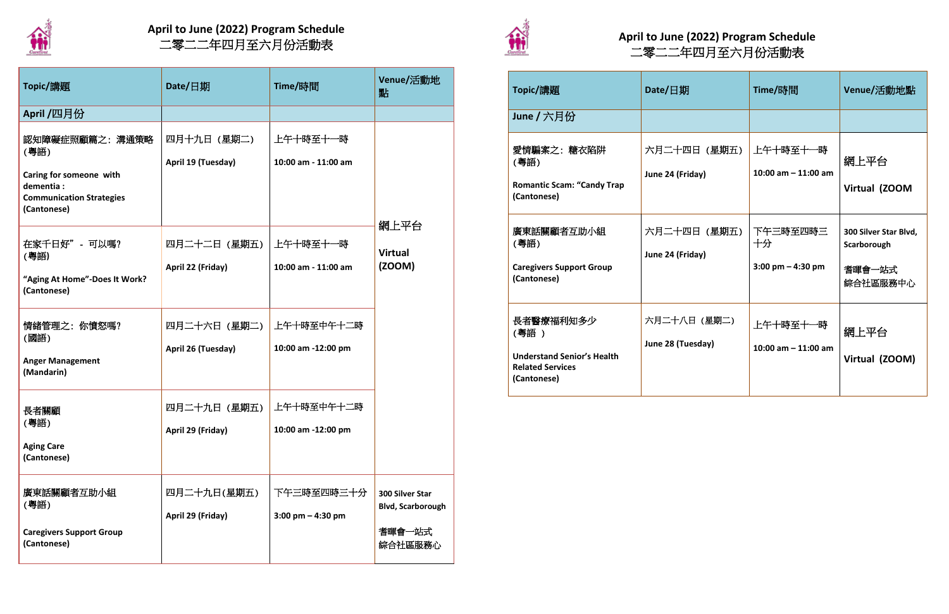| Topic/講題                                                                                                          | Date/日期                           | Time/時間                           | Venue/活動地<br>點                                                   |
|-------------------------------------------------------------------------------------------------------------------|-----------------------------------|-----------------------------------|------------------------------------------------------------------|
| April /四月份                                                                                                        |                                   |                                   |                                                                  |
| 認知障礙症照顧篇之:溝通策略<br>(粵語)<br>Caring for someone with<br>dementia :<br><b>Communication Strategies</b><br>(Cantonese) | 四月十九日(星期二)<br>April 19 (Tuesday)  | 上午十時至十一時<br>10:00 am - 11:00 am   |                                                                  |
| 在家千日好" - 可以嗎?<br>(粵語)<br>"Aging At Home"-Does It Work?<br>(Cantonese)                                             | 四月二十二日(星期五)<br>April 22 (Friday)  | 上午十時至十一時<br>10:00 am - 11:00 am   | 網上平台<br><b>Virtual</b><br>(200M)                                 |
| 情緒管理之: 你憤怒嗎?<br>(國語)<br><b>Anger Management</b><br>(Mandarin)                                                     | 四月二十六日(星期二)<br>April 26 (Tuesday) | 上午十時至中午十二時<br>10:00 am -12:00 pm  |                                                                  |
| 長者關顧<br>(粵語)<br><b>Aging Care</b><br>(Cantonese)                                                                  | 四月二十九日(星期五)<br>April 29 (Friday)  | 上午十時至中午十二時<br>10:00 am -12:00 pm  |                                                                  |
| 廣東話關顧者互助小組<br>(粵語)<br><b>Caregivers Support Group</b><br>(Cantonese)                                              | 四月二十九日(星期五)<br>April 29 (Friday)  | 下午三時至四時三十分<br>3:00 pm $-$ 4:30 pm | 300 Silver Star<br><b>Blvd, Scarborough</b><br>耆暉會一站式<br>綜合社區服務心 |

| Topic/講題                                                                                         | Date/ $\Box$ 期                    | Time/時間                                               | Venue/活動地點                                                 |
|--------------------------------------------------------------------------------------------------|-----------------------------------|-------------------------------------------------------|------------------------------------------------------------|
| June / 六月份                                                                                       |                                   |                                                       |                                                            |
| 愛情騙案之: 糖衣陷阱<br>(粵語)<br><b>Romantic Scam: "Candy Trap</b><br>(Cantonese)                          | 六月二十四日 (星期五)<br>June 24 (Friday)  | 上午十時至十一時<br>10:00 am $-$ 11:00 am                     | 網上平台<br>Virtual (ZOOM                                      |
| 廣東話關顧者互助小組<br>(粵語)<br><b>Caregivers Support Group</b><br>(Cantonese)                             | 六月二十四日 (星期五)<br>June 24 (Friday)  | 下午三時至四時三<br>十分<br>$3:00 \text{ pm} - 4:30 \text{ pm}$ | 300 Silver Star Blvd,<br>Scarborough<br>耆暉會一站式<br>綜合社區服務中心 |
| 長者醫療福利知多少<br>(粵語)<br><b>Understand Senior's Health</b><br><b>Related Services</b><br>(Cantonese) | 六月二十八日 (星期二)<br>June 28 (Tuesday) | 上午十時至十一時<br>10:00 am $-$ 11:00 am                     | 網上平台<br>Virtual (ZOOM)                                     |



# **April to June (2022) Program Schedule** 二零二二年四月至六月份活動表 **April to June (2022) Program Schedule**



# 二零二二年四月至六月份活動表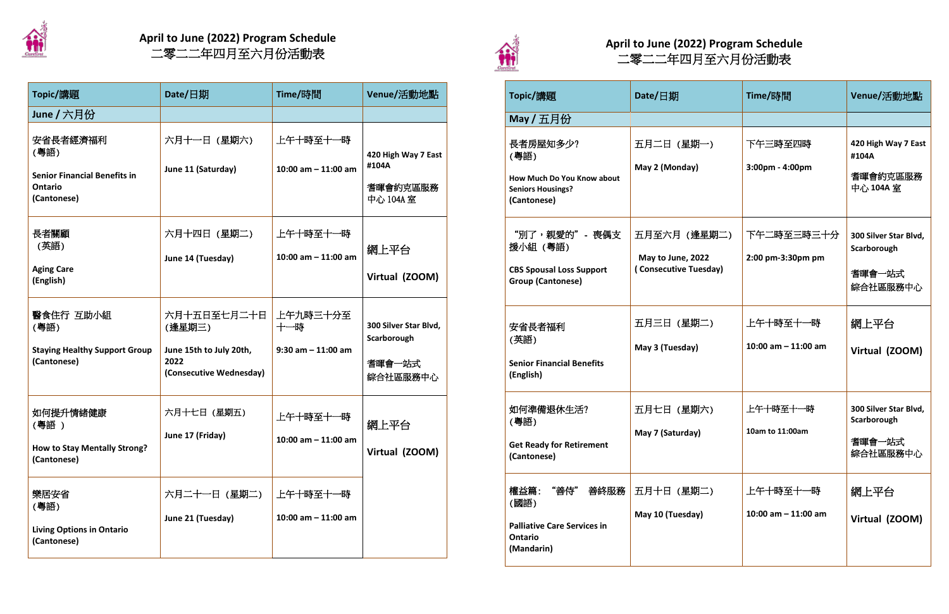| Topic/講題                                                                                  | Date/ $\Box$ 期                                             | Time/時間                           | Venue/活動地點                                                 |
|-------------------------------------------------------------------------------------------|------------------------------------------------------------|-----------------------------------|------------------------------------------------------------|
| May / 五月份                                                                                 |                                                            |                                   |                                                            |
| 長者房屋知多少?<br>(粵語)<br>How Much Do You Know about<br><b>Seniors Housings?</b><br>(Cantonese) | 五月二日 (星期一)<br>May 2 (Monday)                               | 下午三時至四時<br>3:00pm - 4:00pm        | 420 High Way 7 East<br>#104A<br>耆暉會約克區服務<br>中心 104A 室      |
| "別了,親愛的"- 喪偶支<br>援小組 (粵語)<br><b>CBS Spousal Loss Support</b><br><b>Group (Cantonese)</b>  | 五月至六月 (逢星期二)<br>May to June, 2022<br>(Consecutive Tuesday) | 下午二時至三時三十分<br>2:00 pm-3:30pm pm   | 300 Silver Star Blvd,<br>Scarborough<br>耆暉會一站式<br>綜合社區服務中心 |
| 安省長者福利<br>(英語)<br><b>Senior Financial Benefits</b><br>(English)                           | 五月三日 (星期二)<br>May 3 (Tuesday)                              | 上午十時至十一時<br>10:00 am $-$ 11:00 am | 網上平台<br>Virtual (ZOOM)                                     |
| 如何準備退休生活?<br>(粵語)<br><b>Get Ready for Retirement</b><br>(Cantonese)                       | 五月七日 (星期六)<br>May 7 (Saturday)                             | 上午十時至十一時<br>10am to 11:00am       | 300 Silver Star Blvd,<br>Scarborough<br>耆暉會一站式<br>綜合社區服務中心 |
| 權益篇: "善侍" 善終服務<br>(國語)<br><b>Palliative Care Services in</b><br>Ontario<br>(Mandarin)     | 五月十日 (星期二)<br>May 10 (Tuesday)                             | 上午十時至十一時<br>10:00 am $-$ 11:00 am | 網上平台<br>Virtual (ZOOM)                                     |

| Topic/講題                                                                                 | Date/日期                                                                             | Time/時間                                  | Venue/活動地點                                                 |
|------------------------------------------------------------------------------------------|-------------------------------------------------------------------------------------|------------------------------------------|------------------------------------------------------------|
| June / 六月份                                                                               |                                                                                     |                                          |                                                            |
| 安省長者經濟福利<br>(粵語)<br><b>Senior Financial Benefits in</b><br><b>Ontario</b><br>(Cantonese) | 六月十一日 (星期六)<br>June 11 (Saturday)                                                   | 上午十時至十一時<br>10:00 am $-$ 11:00 am        | 420 High Way 7 East<br>#104A<br>耆暉會約克區服務<br>中心 104A 室      |
| 長者關顧<br>(英語)<br><b>Aging Care</b><br>(English)                                           | 六月十四日(星期二)<br>June 14 (Tuesday)                                                     | 上午十時至十一時<br>10:00 am $-$ 11:00 am        | 網上平台<br>Virtual (ZOOM)                                     |
| 醫食住行 互助小組<br>(粵語)<br><b>Staying Healthy Support Group</b><br>(Cantonese)                 | 六月十五日至七月二十日<br>(逢星期三)<br>June 15th to July 20th,<br>2022<br>(Consecutive Wednesday) | 上午九時三十分至<br>十一時<br>$9:30$ am $-11:00$ am | 300 Silver Star Blvd,<br>Scarborough<br>耆暉會一站式<br>綜合社區服務中心 |
| 如何提升情緒健康<br>(粵語 )<br><b>How to Stay Mentally Strong?</b><br>(Cantonese)                  | 六月十七日 (星期五)<br>June 17 (Friday)                                                     | 上午十時至十一時<br>10:00 am $-$ 11:00 am        | 網上平台<br>Virtual (ZOOM)                                     |
| 樂居安省<br>(粵語)<br><b>Living Options in Ontario</b><br>(Cantonese)                          | 六月二十一日 (星期二)<br>June 21 (Tuesday)                                                   | 上午十時至十一時<br>10:00 am $-$ 11:00 am        |                                                            |



# **April to June (2022) Program Schedule** 二零二二年四月至六月份活動表 **April to June (2022) Program Schedule**



# 二零二二年四月至六月份活動表